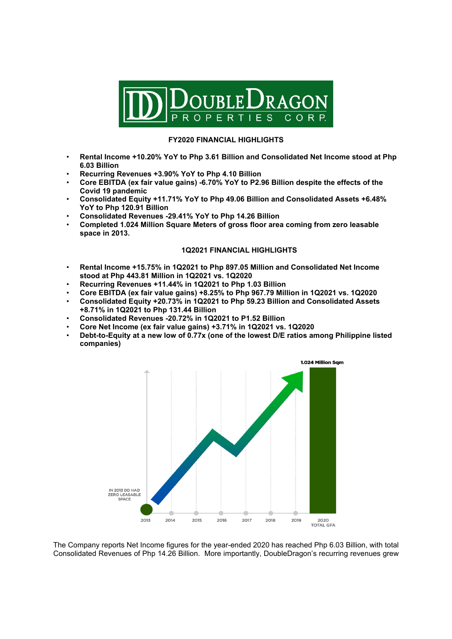

## **FY2020 FINANCIAL HIGHLIGHTS**

- **Rental Income +10.20% YoY to Php 3.61 Billion and Consolidated Net Income stood at Php 6.03 Billion**
- **Recurring Revenues +3.90% YoY to Php 4.10 Billion**
- **Core EBITDA (ex fair value gains) -6.70% YoY to P2.96 Billion despite the effects of the Covid 19 pandemic**
- **Consolidated Equity +11.71% YoY to Php 49.06 Billion and Consolidated Assets +6.48% YoY to Php 120.91 Billion**
- **Consolidated Revenues -29.41% YoY to Php 14.26 Billion**
- **Completed 1.024 Million Square Meters of gross floor area coming from zero leasable space in 2013.**

## **1Q2021 FINANCIAL HIGHLIGHTS**

- **Rental Income +15.75% in 1Q2021 to Php 897.05 Million and Consolidated Net Income stood at Php 443.81 Million in 1Q2021 vs. 1Q2020**
- **Recurring Revenues +11.44% in 1Q2021 to Php 1.03 Billion**
- **Core EBITDA (ex fair value gains) +8.25% to Php 967.79 Million in 1Q2021 vs. 1Q2020**
- **Consolidated Equity +20.73% in 1Q2021 to Php 59.23 Billion and Consolidated Assets**
- **+8.71% in 1Q2021 to Php 131.44 Billion**
- **Consolidated Revenues -20.72% in 1Q2021 to P1.52 Billion**
- **Core Net Income (ex fair value gains) +3.71% in 1Q2021 vs. 1Q2020**
- **Debt-to-Equity at a new low of 0.77x (one of the lowest D/E ratios among Philippine listed companies)**



The Company reports Net Income figures for the year-ended 2020 has reached Php 6.03 Billion, with total Consolidated Revenues of Php 14.26 Billion. More importantly, DoubleDragon's recurring revenues grew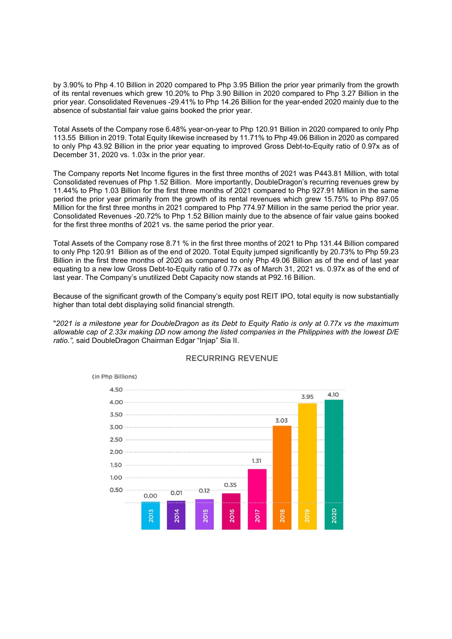by 3.90% to Php 4.10 Billion in 2020 compared to Php 3.95 Billion the prior year primarily from the growth of its rental revenues which grew 10.20% to Php 3.90 Billion in 2020 compared to Php 3.27 Billion in the prior year. Consolidated Revenues -29.41% to Php 14.26 Billion for the year-ended 2020 mainly due to the absence of substantial fair value gains booked the prior year.

Total Assets of the Company rose 6.48% year-on-year to Php 120.91 Billion in 2020 compared to only Php 113.55 Billion in 2019. Total Equity likewise increased by 11.71% to Php 49.06 Billion in 2020 as compared to only Php 43.92 Billion in the prior year equating to improved Gross Debt-to-Equity ratio of 0.97x as of December 31, 2020 vs. 1.03x in the prior year.

The Company reports Net Income figures in the first three months of 2021 was P443.81 Million, with total Consolidated revenues of Php 1.52 Billion. More importantly, DoubleDragon's recurring revenues grew by 11.44% to Php 1.03 Billion for the first three months of 2021 compared to Php 927.91 Million in the same period the prior year primarily from the growth of its rental revenues which grew 15.75% to Php 897.05 Million for the first three months in 2021 compared to Php 774.97 Million in the same period the prior year. Consolidated Revenues -20.72% to Php 1.52 Billion mainly due to the absence of fair value gains booked for the first three months of 2021 vs. the same period the prior year.

Total Assets of the Company rose 8.71 % in the first three months of 2021 to Php 131.44 Billion compared to only Php 120.91 Billion as of the end of 2020. Total Equity jumped significantly by 20.73% to Php 59.23 Billion in the first three months of 2020 as compared to only Php 49.06 Billion as of the end of last year equating to a new low Gross Debt-to-Equity ratio of 0.77x as of March 31, 2021 vs. 0.97x as of the end of last year. The Company's unutilized Debt Capacity now stands at P92.16 Billion.

Because of the significant growth of the Company's equity post REIT IPO, total equity is now substantially higher than total debt displaying solid financial strength.

"*2021 is a milestone year for DoubleDragon as its Debt to Equity Ratio is only at 0.77x vs the maximum allowable cap of 2.33x making DD now among the listed companies in the Philippines with the lowest D/E ratio.",* said DoubleDragon Chairman Edgar "Injap" Sia II.



## **RECURRING REVENUE**